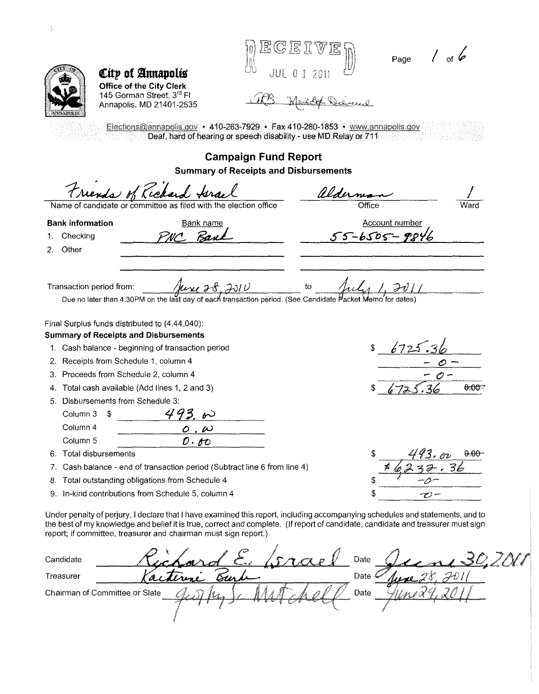| City of Annapolis<br>Office of the City Clerk<br>145 Gorman Street, 3rd FI<br>Annapolis, MD 21401-2535                                                                                                                                                                                                                               | $\mathbb{G}\mathbb{E}$ If $\mathbb{V}$                           | Page / of $6$                                                                 |                   |
|--------------------------------------------------------------------------------------------------------------------------------------------------------------------------------------------------------------------------------------------------------------------------------------------------------------------------------------|------------------------------------------------------------------|-------------------------------------------------------------------------------|-------------------|
|                                                                                                                                                                                                                                                                                                                                      | Deaf, hard of hearing or speech disability - use MD Relay or 711 | Elections@annapolis.gov • 410-263-7929 • Fax 410-280-1853 • www.annapolis.gov |                   |
|                                                                                                                                                                                                                                                                                                                                      | <b>Campaign Fund Report</b>                                      |                                                                               |                   |
|                                                                                                                                                                                                                                                                                                                                      | <b>Summary of Receipts and Disbursements</b>                     |                                                                               |                   |
| Friends of Richard force                                                                                                                                                                                                                                                                                                             |                                                                  | alderni                                                                       |                   |
| Name of candidate or committee as filed with the election office                                                                                                                                                                                                                                                                     |                                                                  | Office                                                                        |                   |
| <b>Bank information</b><br>Bank name                                                                                                                                                                                                                                                                                                 |                                                                  | <b>Account number</b>                                                         |                   |
| Checking<br>1.                                                                                                                                                                                                                                                                                                                       |                                                                  | $55 - 6505 - 98$                                                              |                   |
| Other<br>2.                                                                                                                                                                                                                                                                                                                          |                                                                  |                                                                               |                   |
| Due no later than 4:30PM on the last day of each transaction period. (See Candidate Macket Memo'for dates)<br>Final Surplus funds distributed to (4.44.040):<br><b>Summary of Receipts and Disbursements</b><br>1. Cash balance - beginning of transaction period                                                                    | <u>June 28, 2010</u>                                             | 6725                                                                          |                   |
| Receipts from Schedule 1, column 4<br>2.                                                                                                                                                                                                                                                                                             |                                                                  |                                                                               |                   |
| Proceeds from Schedule 2, column 4<br>3.                                                                                                                                                                                                                                                                                             |                                                                  |                                                                               | 6.OC              |
| Total cash available (Add lines 1, 2 and 3)<br>4.<br>Disbursements from Schedule 3:<br>5.                                                                                                                                                                                                                                            |                                                                  |                                                                               |                   |
| Column 3<br>\$                                                                                                                                                                                                                                                                                                                       |                                                                  |                                                                               |                   |
| Column 4<br>. $\omega$<br>$\circ$                                                                                                                                                                                                                                                                                                    |                                                                  |                                                                               |                   |
| Column 5<br>$\mathcal{O}\cdot\mathcal{O}$                                                                                                                                                                                                                                                                                            |                                                                  |                                                                               |                   |
| Total disbursements<br>6.                                                                                                                                                                                                                                                                                                            |                                                                  |                                                                               | 43.00<br>$0.00 -$ |
| Cash balance - end of transaction period (Subtract line 6 from line 4)<br>7.                                                                                                                                                                                                                                                         |                                                                  |                                                                               |                   |
| Total outstanding obligations from Schedule 4<br>8.                                                                                                                                                                                                                                                                                  |                                                                  |                                                                               |                   |
| In-kind contributions from Schedule 5, column 4<br>9.                                                                                                                                                                                                                                                                                |                                                                  | です                                                                            |                   |
| Under penalty of perjury, I declare that I have examined this report, including accompanying schedules and statements, and to<br>the best of my knowledge and belief it is true, correct and complete. (If report of candidate, candidate and treasurer must sign<br>report; if committee, treasurer and chairman must sign report.) |                                                                  |                                                                               |                   |
| Candidate                                                                                                                                                                                                                                                                                                                            |                                                                  | Date                                                                          | 200               |
| Treasurer                                                                                                                                                                                                                                                                                                                            | Бın                                                              | Date                                                                          |                   |
| Chairman of Committee or Slate                                                                                                                                                                                                                                                                                                       |                                                                  | Date                                                                          |                   |
|                                                                                                                                                                                                                                                                                                                                      |                                                                  |                                                                               |                   |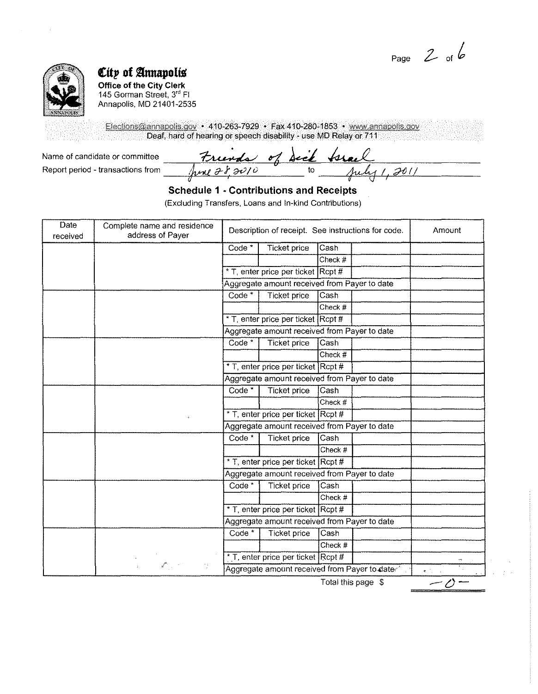Page  $2$  of  $6$ 



## *City of Amapolis*

**Office of the City Clerk**  145 Gorman Street, 3<sup>rd</sup> Fl Annapolis, MD 21401-2535

Elections@annapolis.gov • 410-263-7929 • Fax 410-280-1853 • www.annapolis.gov Deaf, hard of hearing or speech disability - use MD Relay or 711

Name of candidate or committee Trunds of Sect track<br>Report period-transactions from pere 28,2010 to puly1,2011

**Schedule 1 - Contributions and Receipts** 

(Excluding Transfers, Loans and In-kind Contributions)

| Date<br>received | Complete name and residence<br>address of Payer        | Description of receipt. See instructions for code. |                                              |           | Amount                                |  |
|------------------|--------------------------------------------------------|----------------------------------------------------|----------------------------------------------|-----------|---------------------------------------|--|
|                  |                                                        | Code <sup>*</sup>                                  | <b>Ticket price</b>                          | Cash      |                                       |  |
|                  |                                                        |                                                    |                                              | Check #   |                                       |  |
|                  |                                                        |                                                    | * T, enter price per ticket Rcpt #           |           |                                       |  |
|                  |                                                        |                                                    | Aggregate amount received from Payer to date |           |                                       |  |
|                  |                                                        | Code*                                              | <b>Ticket price</b>                          | Cash      |                                       |  |
|                  |                                                        |                                                    |                                              | Check #   |                                       |  |
|                  |                                                        |                                                    | * T, enter price per ticket Rcpt #           |           |                                       |  |
|                  |                                                        |                                                    | Aggregate amount received from Payer to date |           |                                       |  |
|                  |                                                        | Code <sup>*</sup>                                  | <b>Ticket price</b>                          | Cash      |                                       |  |
|                  |                                                        |                                                    |                                              | Check #   |                                       |  |
|                  |                                                        |                                                    | * T, enter price per ticket Rcpt #           |           |                                       |  |
|                  |                                                        | Aggregate amount received from Payer to date       |                                              |           |                                       |  |
|                  |                                                        | Code <sup>*</sup>                                  | <b>Ticket price</b>                          | Cash      |                                       |  |
|                  |                                                        |                                                    |                                              | Check $#$ |                                       |  |
|                  | $\alpha$                                               |                                                    | * T, enter price per ticket Rcpt #           |           |                                       |  |
|                  |                                                        | Aggregate amount received from Payer to date       |                                              |           |                                       |  |
|                  |                                                        | Code <sup>*</sup>                                  | <b>Ticket price</b>                          | Cash      |                                       |  |
|                  |                                                        |                                                    |                                              | Check #   |                                       |  |
|                  |                                                        |                                                    | * T, enter price per ticket Rcpt #           |           |                                       |  |
|                  |                                                        | Aggregate amount received from Payer to date       |                                              |           |                                       |  |
|                  |                                                        | Code <sup>*</sup>                                  | Ticket price                                 | Cash      |                                       |  |
|                  |                                                        |                                                    |                                              | Check #   |                                       |  |
|                  |                                                        |                                                    | * T, enter price per ticket                  | $ $ Rcpt# |                                       |  |
|                  |                                                        | Aggregate amount received from Payer to date       |                                              |           |                                       |  |
|                  |                                                        | Code <sup>*</sup>                                  | <b>Ticket price</b>                          | Cash      |                                       |  |
|                  |                                                        |                                                    |                                              | Check #   |                                       |  |
|                  |                                                        | * T, enter price per ticket Rcpt #                 |                                              |           |                                       |  |
|                  | $\mathbb{Z}^{m_1}$ , $\mathbb{Z}^{m_1}$ ,<br>-16<br>s. | Aggregate amount received from Payer to date       |                                              |           | $\bullet$ - $\uparrow$ - $\downarrow$ |  |

Total this page \$

 $\overline{-\mathcal{O}}$  -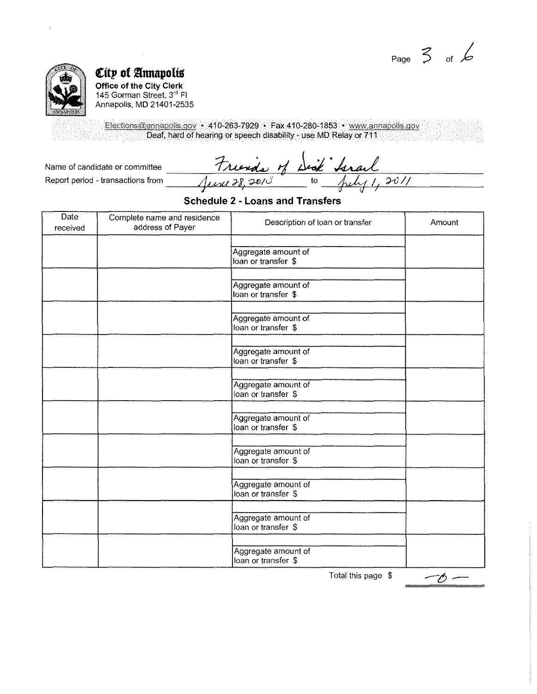Page  $\frac{2}{5}$  of  $\frac{2}{5}$ 



## **€ftp O( annapoliS Office of the City Clerk**  145 Gorman Street, 3<sup>rd</sup> Fl Annapolis, MD 21401-2535

Elections@annapolis.gov • 410-263-7929 • Fax 410-280-1853 • www.annapolis.gov Deaf, hard of hearing or speech disability - use MD Relay or 711

Name of candidate or committee ----~1;\_:\_:~-=.:=--='='· =,-:-1p\_...!::~=--=·'--·-'~'-";=T"='-----:-------- Report period -transactions from *pk1?1* J-~. -;).f!!u' to ;AJv *; <sup>1</sup>?-U I/* 

## **Schedule 2 - Loans and Transfers**

| Date<br>received | Complete name and residence<br>address of Payer | Description of loan or transfer            | Amount |
|------------------|-------------------------------------------------|--------------------------------------------|--------|
|                  |                                                 | Aggregate amount of<br>loan or transfer \$ |        |
|                  |                                                 | Aggregate amount of<br>loan or transfer \$ |        |
|                  |                                                 | Aggregate amount of<br>loan or transfer \$ |        |
|                  |                                                 | Aggregate amount of<br>loan or transfer \$ |        |
|                  |                                                 | Aggregate amount of<br>loan or transfer \$ |        |
|                  |                                                 | Aggregate amount of<br>loan or transfer \$ |        |
|                  |                                                 | Aggregate amount of<br>loan or transfer \$ |        |
|                  |                                                 | Aggregate amount of<br>loan or transfer \$ |        |
|                  |                                                 | Aggregate amount of<br>loan or transfer \$ |        |
|                  |                                                 | Aggregate amount of<br>loan or transfer \$ |        |

Total this page \$

ー6 ー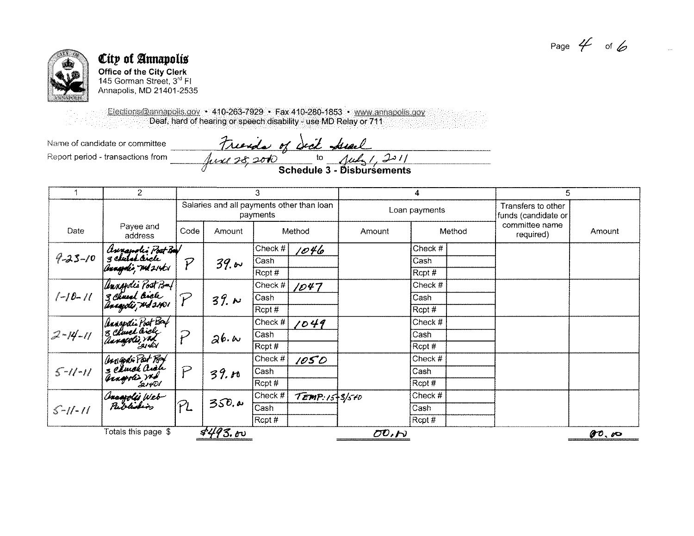Page  $4$  of 6



## City of Annapolis **Office of the City Clerk**

145 Gorman Street, 3<sup>rd</sup> Fl Annapolis, MD 21401-2535

Elections@annapolis.gov + 410-263-7929 • Fax 410-280-1853 • www.annapolis.gov Deaf, hard of hearing or speech disability - use MD Relay or 711

Name of candidate or committee Report period - transactions from

Friends of deck Assal<br>Just 28, 2010 to July 1, 2011

|               | $\overline{2}$                                                 | 3                                                     |         | 4                                      |                                 | 5                                   |                                           |  |                             |        |
|---------------|----------------------------------------------------------------|-------------------------------------------------------|---------|----------------------------------------|---------------------------------|-------------------------------------|-------------------------------------------|--|-----------------------------|--------|
|               |                                                                | Salaries and all payments other than loan<br>payments |         |                                        | Loan payments                   |                                     | Transfers to other<br>funds (candidate or |  |                             |        |
| Date          | Payee and<br>address                                           | Code                                                  | Amount  |                                        | Method                          | Amount                              | Method                                    |  | committee name<br>required) | Amount |
|               |                                                                |                                                       |         | Check $#$                              | 1046                            |                                     | Check #                                   |  |                             |        |
| $9 - 25 - 10$ | (Annapolis Poot Ba)<br>3 church livele<br>(baagdi), M121H1     | $\tilde{P}$                                           | 39.60   | Cash                                   |                                 |                                     | Cash                                      |  |                             |        |
|               |                                                                |                                                       |         | Rcpt#                                  |                                 |                                     | $ $ Rcpt#                                 |  |                             |        |
|               |                                                                |                                                       |         | Check #                                | 1047                            |                                     | Check $#$                                 |  |                             |        |
| $[-10-11]$    | [Annopolis Post Bmf<br>3 Chueal linele<br>[Anagolis TMd 21401] |                                                       | 39.1    | Cash                                   |                                 |                                     | Cash                                      |  |                             |        |
|               |                                                                |                                                       |         | Rcpt #                                 |                                 |                                     | Rcpt #                                    |  |                             |        |
|               | Annapolis Poot Bay<br>3 Church Biels<br>Annapolis Pools        |                                                       |         | Check #                                | 1049                            |                                     | Check #                                   |  |                             |        |
| $2 - 14 - 11$ |                                                                | $\tilde{P}$                                           | 26.4    | Cash                                   |                                 |                                     | Cash                                      |  |                             |        |
|               |                                                                |                                                       |         | $\sqrt{\mathsf{R} \mathsf{cpt} \, \#}$ |                                 |                                     | Rcpt #                                    |  |                             |        |
|               |                                                                |                                                       |         | Check #                                | 1050                            |                                     | Check #                                   |  |                             |        |
| $5 - 11 - 11$ |                                                                | P                                                     | 39.10   | Cash                                   |                                 |                                     | Cash                                      |  |                             |        |
|               | (Magdi Pot Rey<br>3 Church Oral<br>Aragoli > Yob               |                                                       |         | Rcpt#                                  |                                 |                                     | Rcpt#                                     |  |                             |        |
|               | (Inaapolis Web-<br>Publishing                                  |                                                       |         | Check #                                | $T$ <i>EMP</i> : $15 + 3/5 + 0$ |                                     | Check #                                   |  |                             |        |
| $5 - 11 - 11$ |                                                                | PL                                                    | 350.4   | Cash                                   |                                 |                                     | Cash                                      |  |                             |        |
|               |                                                                |                                                       |         | Rcpt #                                 |                                 |                                     | Rcpt#                                     |  |                             |        |
|               | Totals this page \$                                            |                                                       | 4493.60 |                                        |                                 | $\overline{O}$ $D$ , $\overline{O}$ |                                           |  |                             | 0000   |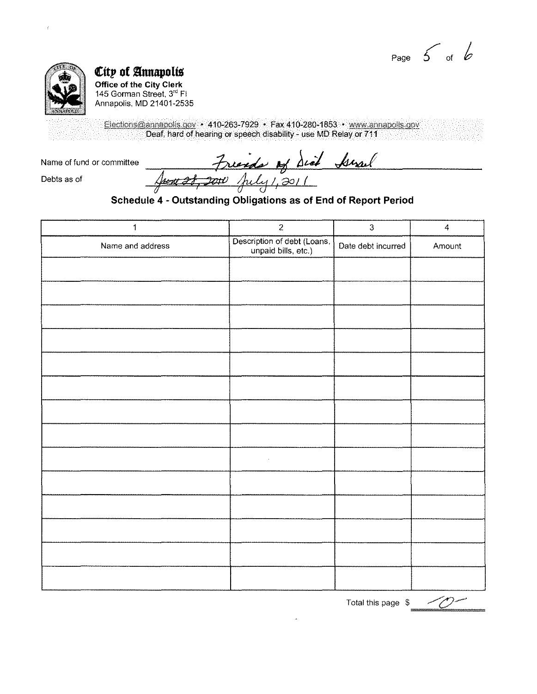Page  $\begin{array}{c} 6 \end{array}$  of  $\begin{array}{c} 6 \end{array}$ 



City of Annapolis Office of the City Clerk<br>145 Gorman Street, 3<sup>rd</sup> Fl Annapolis, MD 21401-2535

Elections@annapolis.gov • 410-263-7929 • Fax 410-280-1853 • www.annapolis.gov Deaf, hard of hearing or speech disability - use MD Relay or 711

Name of fund or committee

Friends of Sid Arral

Debts as of

June 28, 2010

Schedule 4 - Outstanding Obligations as of End of Report Period

| 1                | $\overline{c}$                                     | $\overline{3}$     | $\overline{4}$ |
|------------------|----------------------------------------------------|--------------------|----------------|
| Name and address | Description of debt (Loans,<br>unpaid bills, etc.) | Date debt incurred | Amount         |
|                  |                                                    |                    |                |
|                  |                                                    |                    |                |
|                  |                                                    |                    |                |
|                  |                                                    |                    |                |
| $\sim$           |                                                    |                    |                |
|                  |                                                    |                    |                |
|                  |                                                    |                    |                |
|                  |                                                    |                    |                |
|                  |                                                    |                    |                |
|                  |                                                    |                    |                |
|                  |                                                    |                    |                |
|                  |                                                    |                    |                |
|                  |                                                    |                    |                |
|                  |                                                    |                    |                |

Total this page \$